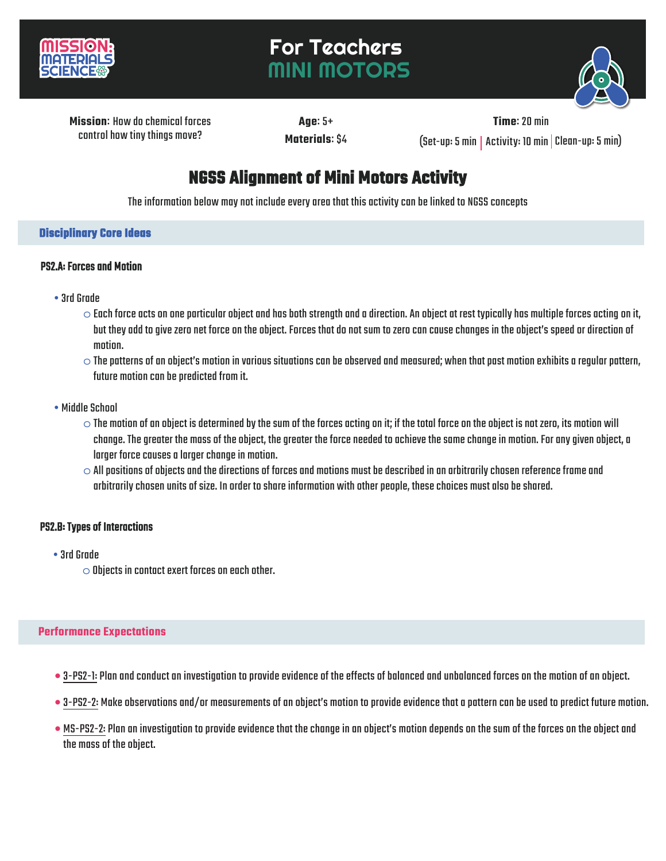

# For Teachers MINI MOTORS



**Missionः** How do chemical forces control how tiny things move?

**Ageः** 5+ **Materialsः** \$4

**Timeः** 20 min  $(Set-up: 5 min | Activity: 10 min | Clean-up: 5 min)$ 

# **NGSS Alignment of Mini Motors Activity**

The information below may not include every area that this activity can be linked to NGSS concepts

## **Disciplinary Core Ideas**

#### PS2.A: Forces and Motion

- •3rd Grade
	- $\circ$  Each force acts on one particular object and has both strength and a direction. An object at rest typically has multiple forces acting on it, but they add to give zero net force on the object. Forces that do not sum to zero can cause changes in the object's speed or directionof motion.
	- $\circ$  The patterns of an object's motion in various situations can be observed and measured; when that past motion exhibits a regular pattern, future motion can be predicted from it.
- Middle School
	- $\circ$  The motion of an object is determined by the sum of the forces acting on it; if the total force on the object is not zero, its motion will change. The greater the mass of the object, the greater the force needed to achieve the same change in motion. For any given object, a larger force causes a larger change in motion.
	- $\circ$  All positions of objects and the directions of forces and motions must be described in an arbitrarily chosen reference frame and arbitrarily chosen units of size. In order to share information with other people, these choices must also be shared.

## PS2.B: Types of Interactions

- •3rdGrade
	- $\circ$  Objects in contact exert forces on each other.

#### **Performance Expectations**

- 3-PS2-1: Plan and conduct an investigation to provide evidence of the effects of balanced and unbalanced forces on the motion of an object.
- 3-PS2-2: Make observations and/or measurements of an object's motion to provide evidence that a pattern can be used to predict future motion.
- MS-PS2-2: Plan an investigation to provide evidence that the change in an object's motion depends on the sum of the forces on the object and the mass of the object.